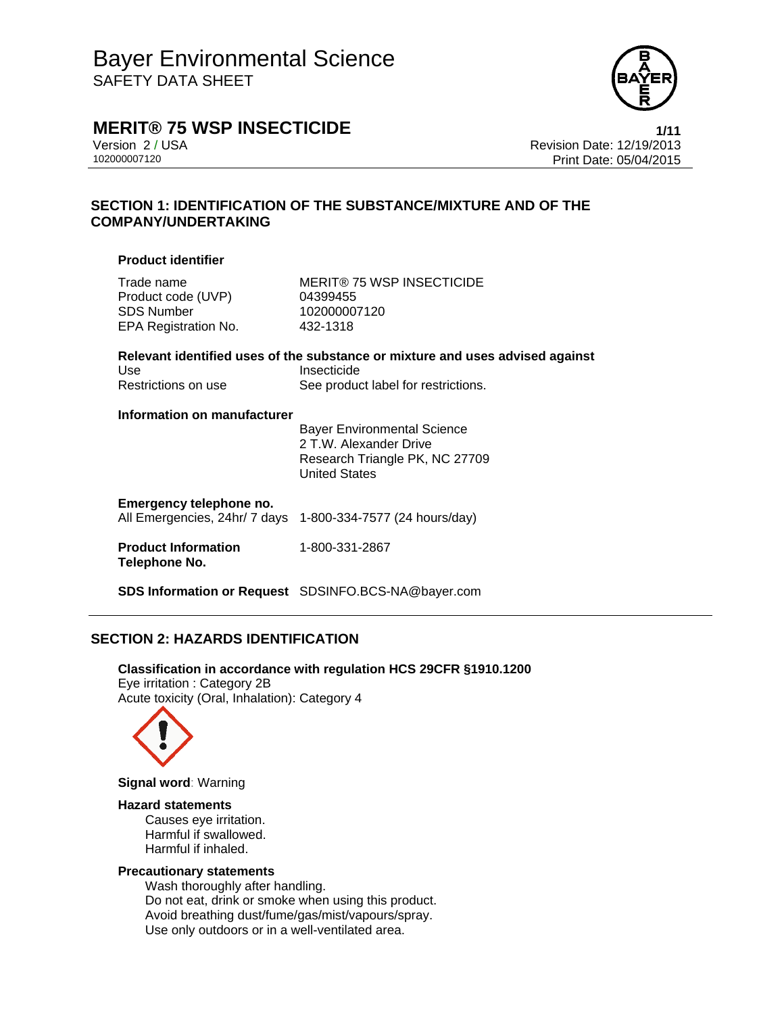

**MERIT® 75 WSP INSECTICIDE 1/11** 

Version 2 / USA Revision Date: 12/19/2013 Print Date: 05/04/2015

# **SECTION 1: IDENTIFICATION OF THE SUBSTANCE/MIXTURE AND OF THE COMPANY/UNDERTAKING**

#### **Product identifier**

Product code (UVP) 04399455 SDS Number 102000007120 EPA Registration No. 432-1318

Trade name MERIT® 75 WSP INSECTICIDE

|                     | Relevant identified uses of the substance or mixture and uses advised against |
|---------------------|-------------------------------------------------------------------------------|
| Use                 | Insecticide                                                                   |
| Restrictions on use | See product label for restrictions.                                           |

#### **Information on manufacturer**

 Bayer Environmental Science 2 T.W. Alexander Drive Research Triangle PK, NC 27709 United States

# **Emergency telephone no.**

All Emergencies, 24hr/ 7 days 1-800-334-7577 (24 hours/day)

#### **Product Information Telephone No.**  1-800-331-2867

**SDS Information or Request** SDSINFO.BCS-NA@bayer.com

# **SECTION 2: HAZARDS IDENTIFICATION**

**Classification in accordance with regulation HCS 29CFR §1910.1200**  Eye irritation : Category 2B Acute toxicity (Oral, Inhalation): Category 4



**Signal word**: Warning

#### **Hazard statements**

Causes eye irritation. Harmful if swallowed. Harmful if inhaled.

### **Precautionary statements**

Wash thoroughly after handling. Do not eat, drink or smoke when using this product. Avoid breathing dust/fume/gas/mist/vapours/spray. Use only outdoors or in a well-ventilated area.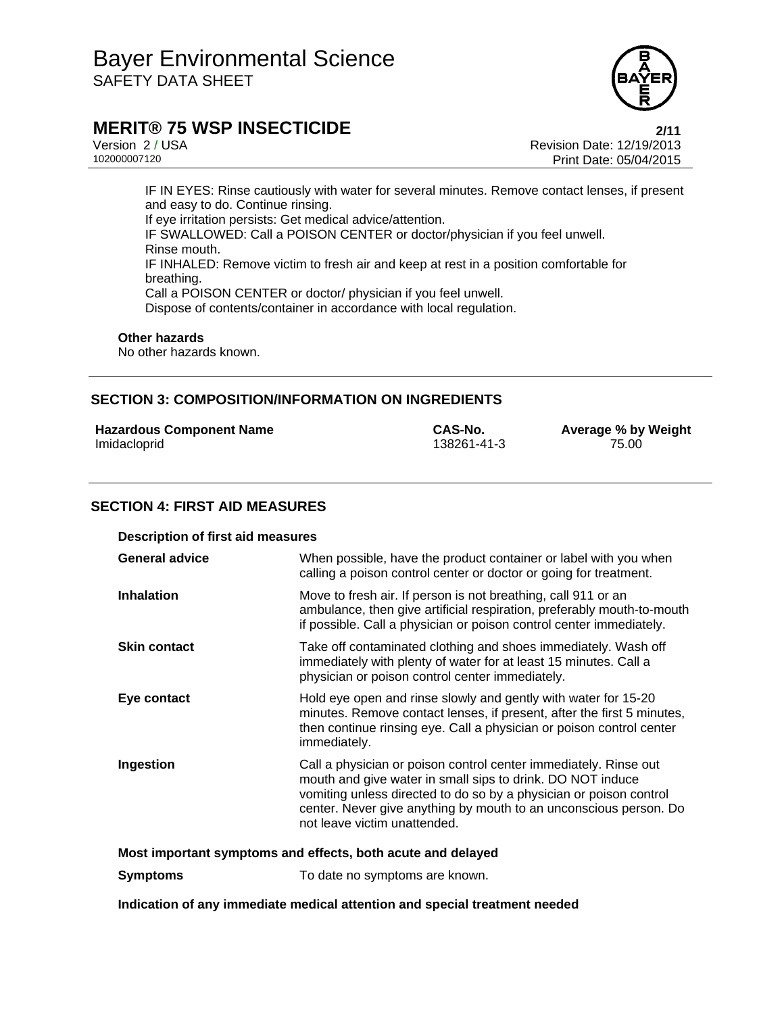

# **MERIT® 75 WSP INSECTICIDE 2/11**

Version 2 / USA Revision Date: 12/19/2013 Print Date: 05/04/2015

IF IN EYES: Rinse cautiously with water for several minutes. Remove contact lenses, if present and easy to do. Continue rinsing. If eye irritation persists: Get medical advice/attention. IF SWALLOWED: Call a POISON CENTER or doctor/physician if you feel unwell. Rinse mouth. IF INHALED: Remove victim to fresh air and keep at rest in a position comfortable for breathing. Call a POISON CENTER or doctor/ physician if you feel unwell. Dispose of contents/container in accordance with local regulation.

#### **Other hazards**

No other hazards known.

### **SECTION 3: COMPOSITION/INFORMATION ON INGREDIENTS**

| <b>Hazardous Component Name</b> | CAS-No.     | <b>Average % by Weight</b> |
|---------------------------------|-------------|----------------------------|
| Imidacloprid                    | 138261-41-3 | 75.00                      |

### **SECTION 4: FIRST AID MEASURES**

| <b>Description of first aid measures</b>                    |                                                                                                                                                                                                                                                                                                           |  |
|-------------------------------------------------------------|-----------------------------------------------------------------------------------------------------------------------------------------------------------------------------------------------------------------------------------------------------------------------------------------------------------|--|
| <b>General advice</b>                                       | When possible, have the product container or label with you when<br>calling a poison control center or doctor or going for treatment.                                                                                                                                                                     |  |
| <b>Inhalation</b>                                           | Move to fresh air. If person is not breathing, call 911 or an<br>ambulance, then give artificial respiration, preferably mouth-to-mouth<br>if possible. Call a physician or poison control center immediately.                                                                                            |  |
| <b>Skin contact</b>                                         | Take off contaminated clothing and shoes immediately. Wash off<br>immediately with plenty of water for at least 15 minutes. Call a<br>physician or poison control center immediately.                                                                                                                     |  |
| Eye contact                                                 | Hold eye open and rinse slowly and gently with water for 15-20<br>minutes. Remove contact lenses, if present, after the first 5 minutes,<br>then continue rinsing eye. Call a physician or poison control center<br>immediately.                                                                          |  |
| Ingestion                                                   | Call a physician or poison control center immediately. Rinse out<br>mouth and give water in small sips to drink. DO NOT induce<br>vomiting unless directed to do so by a physician or poison control<br>center. Never give anything by mouth to an unconscious person. Do<br>not leave victim unattended. |  |
| Most important symptoms and effects, both acute and delayed |                                                                                                                                                                                                                                                                                                           |  |

**Symptoms** To date no symptoms are known.

**Indication of any immediate medical attention and special treatment needed**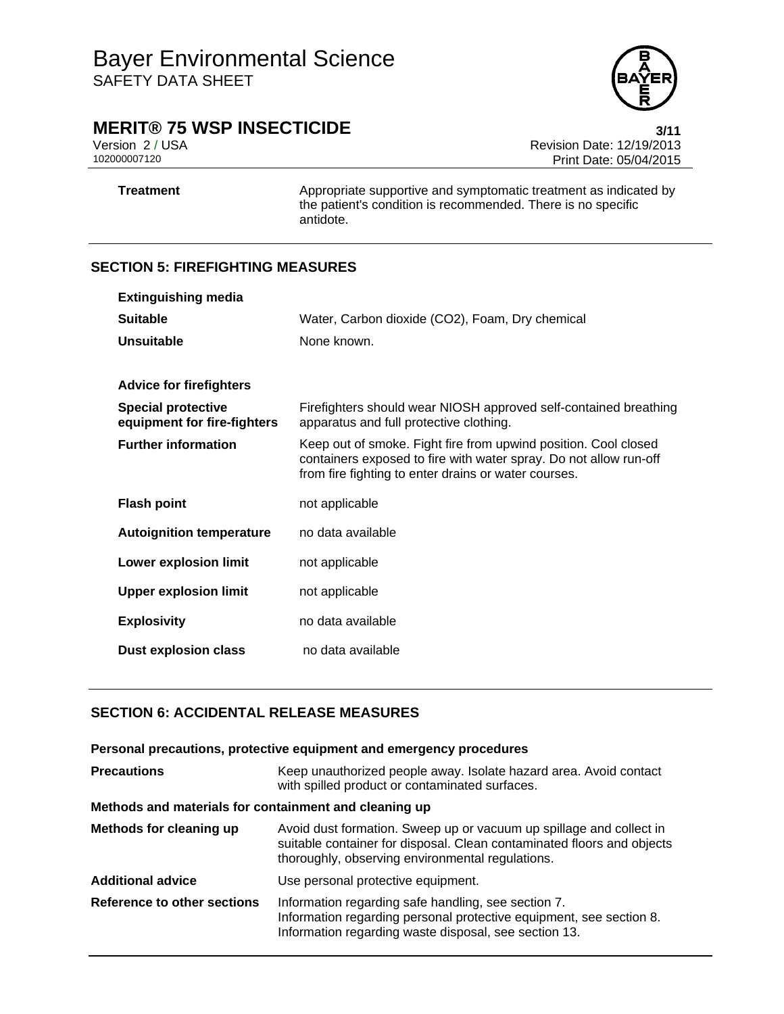

# **MERIT® 75 WSP INSECTICIDE**<br>Version 2/USA Version 2/USA

Version 2 / USA **Version 2 / USA Revision Date: 12/19/2013**<br>102000007120 **Print Date: 05/04/2015** Print Date: 05/04/2015

**Treatment** Appropriate supportive and symptomatic treatment as indicated by the patient's condition is recommended. There is no specific antidote.

# **SECTION 5: FIREFIGHTING MEASURES**

| <b>Extinguishing media</b>                               |                                                                                                                                                                                              |
|----------------------------------------------------------|----------------------------------------------------------------------------------------------------------------------------------------------------------------------------------------------|
| <b>Suitable</b>                                          | Water, Carbon dioxide (CO2), Foam, Dry chemical                                                                                                                                              |
| Unsuitable                                               | None known.                                                                                                                                                                                  |
|                                                          |                                                                                                                                                                                              |
| <b>Advice for firefighters</b>                           |                                                                                                                                                                                              |
| <b>Special protective</b><br>equipment for fire-fighters | Firefighters should wear NIOSH approved self-contained breathing<br>apparatus and full protective clothing.                                                                                  |
| <b>Further information</b>                               | Keep out of smoke. Fight fire from upwind position. Cool closed<br>containers exposed to fire with water spray. Do not allow run-off<br>from fire fighting to enter drains or water courses. |
| <b>Flash point</b>                                       | not applicable                                                                                                                                                                               |
| <b>Autoignition temperature</b>                          | no data available                                                                                                                                                                            |
| <b>Lower explosion limit</b>                             | not applicable                                                                                                                                                                               |
| <b>Upper explosion limit</b>                             | not applicable                                                                                                                                                                               |
| <b>Explosivity</b>                                       | no data available                                                                                                                                                                            |
| <b>Dust explosion class</b>                              | no data available                                                                                                                                                                            |

# **SECTION 6: ACCIDENTAL RELEASE MEASURES**

|                                                       | Personal precautions, protective equipment and emergency procedures                                                                                                                               |  |
|-------------------------------------------------------|---------------------------------------------------------------------------------------------------------------------------------------------------------------------------------------------------|--|
| <b>Precautions</b>                                    | Keep unauthorized people away. Isolate hazard area. Avoid contact<br>with spilled product or contaminated surfaces.                                                                               |  |
| Methods and materials for containment and cleaning up |                                                                                                                                                                                                   |  |
| Methods for cleaning up                               | Avoid dust formation. Sweep up or vacuum up spillage and collect in<br>suitable container for disposal. Clean contaminated floors and objects<br>thoroughly, observing environmental regulations. |  |
| <b>Additional advice</b>                              | Use personal protective equipment.                                                                                                                                                                |  |
| Reference to other sections                           | Information regarding safe handling, see section 7.<br>Information regarding personal protective equipment, see section 8.<br>Information regarding waste disposal, see section 13.               |  |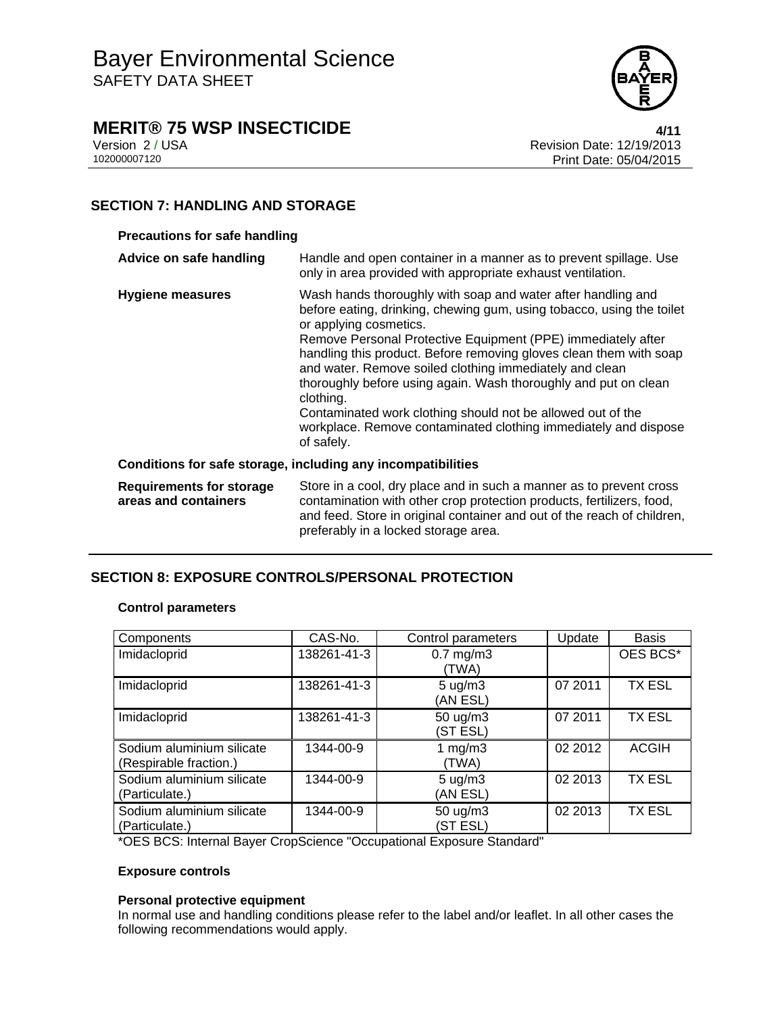

# **MERIT® 75 WSP INSECTICIDE**<br>Version 2/USA<br>Revision Date: 12/19/2013

Version 2 / USA **Version 2 / USA Revision Date: 12/19/2013**<br>102000007120 **Print Date: 05/04/2015** Print Date: 05/04/2015

# **SECTION 7: HANDLING AND STORAGE**

### **Precautions for safe handling**

| Advice on safe handling                                 | Handle and open container in a manner as to prevent spillage. Use<br>only in area provided with appropriate exhaust ventilation.                                                                                                                                                                                                                                                                                                                                                                                                                                                                 |
|---------------------------------------------------------|--------------------------------------------------------------------------------------------------------------------------------------------------------------------------------------------------------------------------------------------------------------------------------------------------------------------------------------------------------------------------------------------------------------------------------------------------------------------------------------------------------------------------------------------------------------------------------------------------|
| <b>Hygiene measures</b>                                 | Wash hands thoroughly with soap and water after handling and<br>before eating, drinking, chewing gum, using tobacco, using the toilet<br>or applying cosmetics.<br>Remove Personal Protective Equipment (PPE) immediately after<br>handling this product. Before removing gloves clean them with soap<br>and water. Remove soiled clothing immediately and clean<br>thoroughly before using again. Wash thoroughly and put on clean<br>clothing.<br>Contaminated work clothing should not be allowed out of the<br>workplace. Remove contaminated clothing immediately and dispose<br>of safely. |
|                                                         | Conditions for safe storage, including any incompatibilities                                                                                                                                                                                                                                                                                                                                                                                                                                                                                                                                     |
| <b>Requirements for storage</b><br>areas and containers | Store in a cool, dry place and in such a manner as to prevent cross<br>contamination with other crop protection products, fertilizers, food,<br>and feed. Store in original container and out of the reach of children,                                                                                                                                                                                                                                                                                                                                                                          |

preferably in a locked storage area.

# **SECTION 8: EXPOSURE CONTROLS/PERSONAL PROTECTION**

#### **Control parameters**

| Components                                          | CAS-No.     | Control parameters             | Update  | <b>Basis</b>  |
|-----------------------------------------------------|-------------|--------------------------------|---------|---------------|
| Imidacloprid                                        | 138261-41-3 | $0.7$ mg/m $3$<br>(TWA)        |         | OES BCS*      |
| Imidacloprid                                        | 138261-41-3 | $5 \text{ ug/m}$ 3<br>(AN ESL) | 07 2011 | <b>TX ESL</b> |
| Imidacloprid                                        | 138261-41-3 | 50 ug/m3<br>(ST ESL)           | 07 2011 | <b>TX ESL</b> |
| Sodium aluminium silicate<br>(Respirable fraction.) | 1344-00-9   | 1 $mg/m3$<br>(TWA)             | 02 2012 | <b>ACGIH</b>  |
| Sodium aluminium silicate<br>(Particulate.)         | 1344-00-9   | $5 \text{ ug/m}$ 3<br>(AN ESL) | 02 2013 | <b>TX ESL</b> |
| Sodium aluminium silicate<br>(Particulate.)         | 1344-00-9   | 50 ug/m3<br>(ST ESL)           | 02 2013 | <b>TX ESL</b> |

\*OES BCS: Internal Bayer CropScience "Occupational Exposure Standard"

#### **Exposure controls**

### **Personal protective equipment**

In normal use and handling conditions please refer to the label and/or leaflet. In all other cases the following recommendations would apply.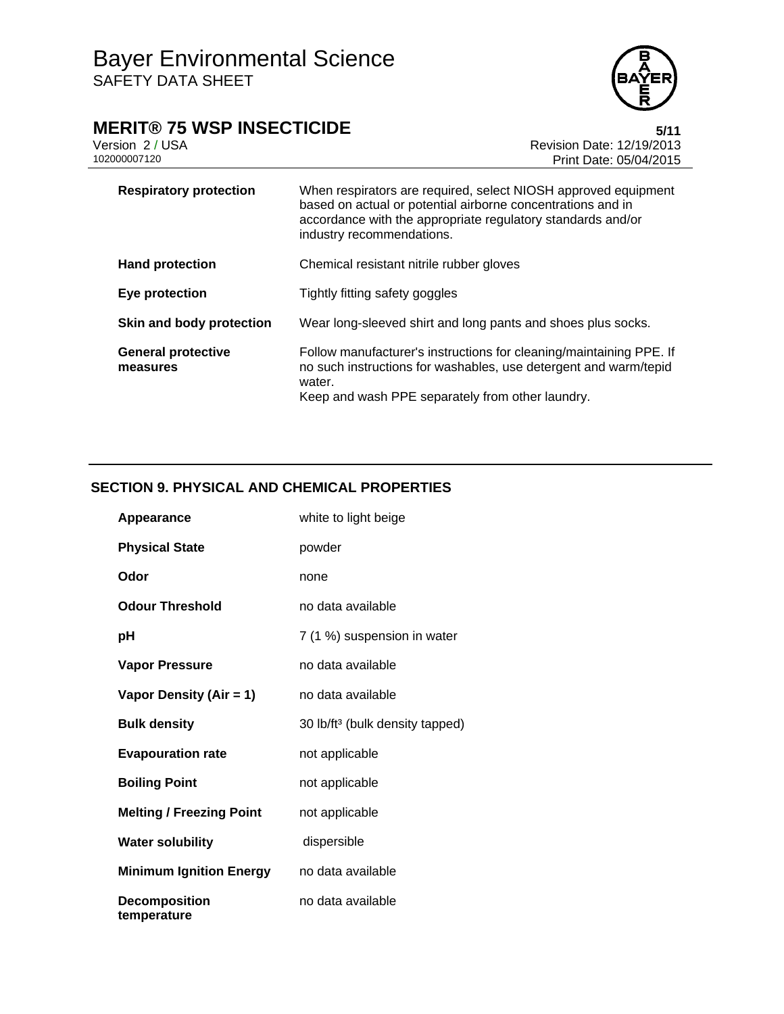# **MERIT® 75 WSP INSECTICIDE**<br>Version 2/USA **by Case 12/19/2013**

Version 2 / USA <br>102000007120<br>Print Date: 05/04/2015 Print Date: 05/04/2015

| <b>Respiratory protection</b>         | When respirators are required, select NIOSH approved equipment<br>based on actual or potential airborne concentrations and in<br>accordance with the appropriate regulatory standards and/or<br>industry recommendations. |
|---------------------------------------|---------------------------------------------------------------------------------------------------------------------------------------------------------------------------------------------------------------------------|
| <b>Hand protection</b>                | Chemical resistant nitrile rubber gloves                                                                                                                                                                                  |
| Eye protection                        | Tightly fitting safety goggles                                                                                                                                                                                            |
| Skin and body protection              | Wear long-sleeved shirt and long pants and shoes plus socks.                                                                                                                                                              |
| <b>General protective</b><br>measures | Follow manufacturer's instructions for cleaning/maintaining PPE. If<br>no such instructions for washables, use detergent and warm/tepid<br>water.<br>Keep and wash PPE separately from other laundry.                     |

# **SECTION 9. PHYSICAL AND CHEMICAL PROPERTIES**

| Appearance                          | white to light beige                        |
|-------------------------------------|---------------------------------------------|
| <b>Physical State</b>               | powder                                      |
| Odor                                | none                                        |
| <b>Odour Threshold</b>              | no data available                           |
| рH                                  | 7 (1 %) suspension in water                 |
| <b>Vapor Pressure</b>               | no data available                           |
| Vapor Density (Air = 1)             | no data available                           |
| <b>Bulk density</b>                 | 30 lb/ft <sup>3</sup> (bulk density tapped) |
| <b>Evapouration rate</b>            | not applicable                              |
| <b>Boiling Point</b>                | not applicable                              |
| <b>Melting / Freezing Point</b>     | not applicable                              |
| <b>Water solubility</b>             | dispersible                                 |
| <b>Minimum Ignition Energy</b>      | no data available                           |
| <b>Decomposition</b><br>temperature | no data available                           |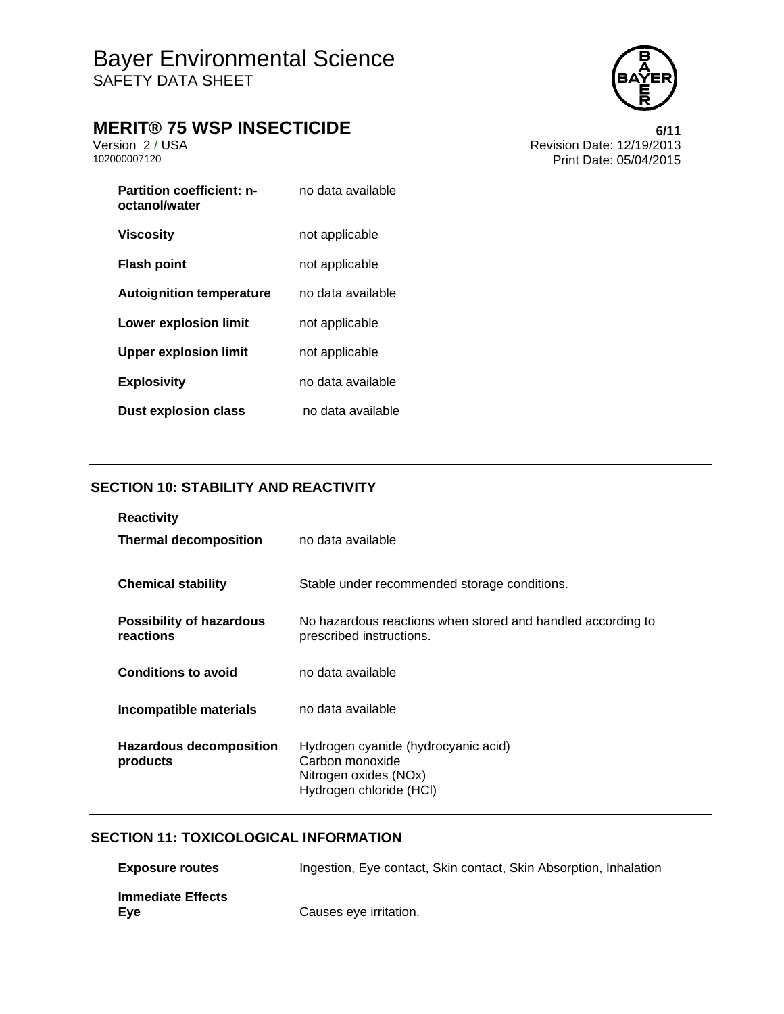

# **MERIT® 75 WSP INSECTICIDE**<br>Version 2/USA **by Case 12/19/2013**

Version 2 / USA <br>102000007120<br>Print Date: 05/04/2015 Print Date: 05/04/2015

| <b>Partition coefficient: n-</b><br>octanol/water | no data available |
|---------------------------------------------------|-------------------|
| Viscosity                                         | not applicable    |
| <b>Flash point</b>                                | not applicable    |
| <b>Autoignition temperature</b>                   | no data available |
| Lower explosion limit                             | not applicable    |
| <b>Upper explosion limit</b>                      | not applicable    |
| <b>Explosivity</b>                                | no data available |
| <b>Dust explosion class</b>                       | no data available |

# **SECTION 10: STABILITY AND REACTIVITY**

| <b>Reactivity</b><br><b>Thermal decomposition</b> | no data available                                                                                          |
|---------------------------------------------------|------------------------------------------------------------------------------------------------------------|
| <b>Chemical stability</b>                         | Stable under recommended storage conditions.                                                               |
| <b>Possibility of hazardous</b><br>reactions      | No hazardous reactions when stored and handled according to<br>prescribed instructions.                    |
| <b>Conditions to avoid</b>                        | no data available                                                                                          |
| Incompatible materials                            | no data available                                                                                          |
| Hazardous decomposition<br>products               | Hydrogen cyanide (hydrocyanic acid)<br>Carbon monoxide<br>Nitrogen oxides (NOx)<br>Hydrogen chloride (HCI) |

# **SECTION 11: TOXICOLOGICAL INFORMATION**

| <b>Exposure routes</b>          | Ingestion, Eye contact, Skin contact, Skin Absorption, Inhalation |
|---------------------------------|-------------------------------------------------------------------|
| <b>Immediate Effects</b><br>Eve | Causes eye irritation.                                            |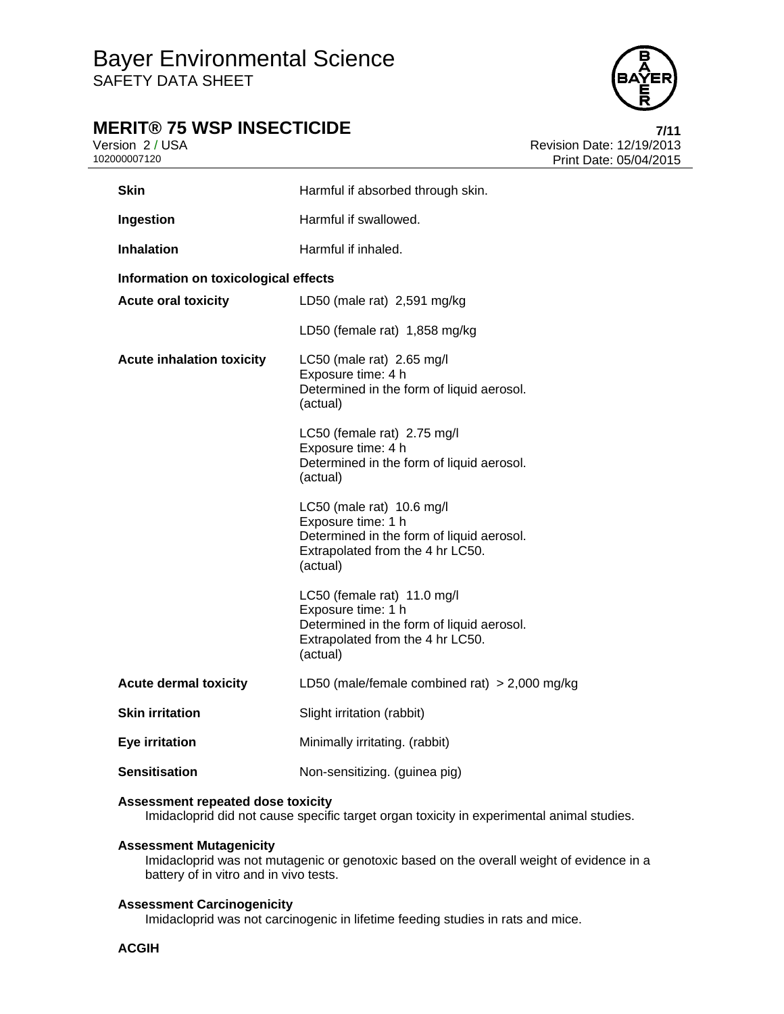

# **MERIT® 75 WSP INSECTICIDE**<br>Version 2/USA<br>Revision Date: 12/19/2013

Version 2 / USA **Version 2 / USA Revision Date: 12/19/2013**<br>102000007120 **Print Date: 05/04/2015** Print Date: 05/04/2015

| <b>Skin</b>                          | Harmful if absorbed through skin.                                                                                                              |  |  |  |
|--------------------------------------|------------------------------------------------------------------------------------------------------------------------------------------------|--|--|--|
| Ingestion                            | Harmful if swallowed.                                                                                                                          |  |  |  |
| <b>Inhalation</b>                    | Harmful if inhaled.                                                                                                                            |  |  |  |
| Information on toxicological effects |                                                                                                                                                |  |  |  |
| <b>Acute oral toxicity</b>           | LD50 (male rat) 2,591 mg/kg                                                                                                                    |  |  |  |
|                                      | LD50 (female rat) 1,858 mg/kg                                                                                                                  |  |  |  |
| <b>Acute inhalation toxicity</b>     | LC50 (male rat) 2.65 mg/l<br>Exposure time: 4 h<br>Determined in the form of liquid aerosol.<br>(actual)                                       |  |  |  |
|                                      | LC50 (female rat) 2.75 mg/l<br>Exposure time: 4 h<br>Determined in the form of liquid aerosol.<br>(actual)                                     |  |  |  |
|                                      | LC50 (male rat) 10.6 mg/l<br>Exposure time: 1 h<br>Determined in the form of liquid aerosol.<br>Extrapolated from the 4 hr LC50.<br>(actual)   |  |  |  |
|                                      | LC50 (female rat) 11.0 mg/l<br>Exposure time: 1 h<br>Determined in the form of liquid aerosol.<br>Extrapolated from the 4 hr LC50.<br>(actual) |  |  |  |
| <b>Acute dermal toxicity</b>         | LD50 (male/female combined rat) $>$ 2,000 mg/kg                                                                                                |  |  |  |
| <b>Skin irritation</b>               | Slight irritation (rabbit)                                                                                                                     |  |  |  |
| Eye irritation                       | Minimally irritating. (rabbit)                                                                                                                 |  |  |  |
| <b>Sensitisation</b>                 | Non-sensitizing. (guinea pig)                                                                                                                  |  |  |  |

#### **Assessment repeated dose toxicity**

Imidacloprid did not cause specific target organ toxicity in experimental animal studies.

# **Assessment Mutagenicity**

Imidacloprid was not mutagenic or genotoxic based on the overall weight of evidence in a battery of in vitro and in vivo tests.

### **Assessment Carcinogenicity**

Imidacloprid was not carcinogenic in lifetime feeding studies in rats and mice.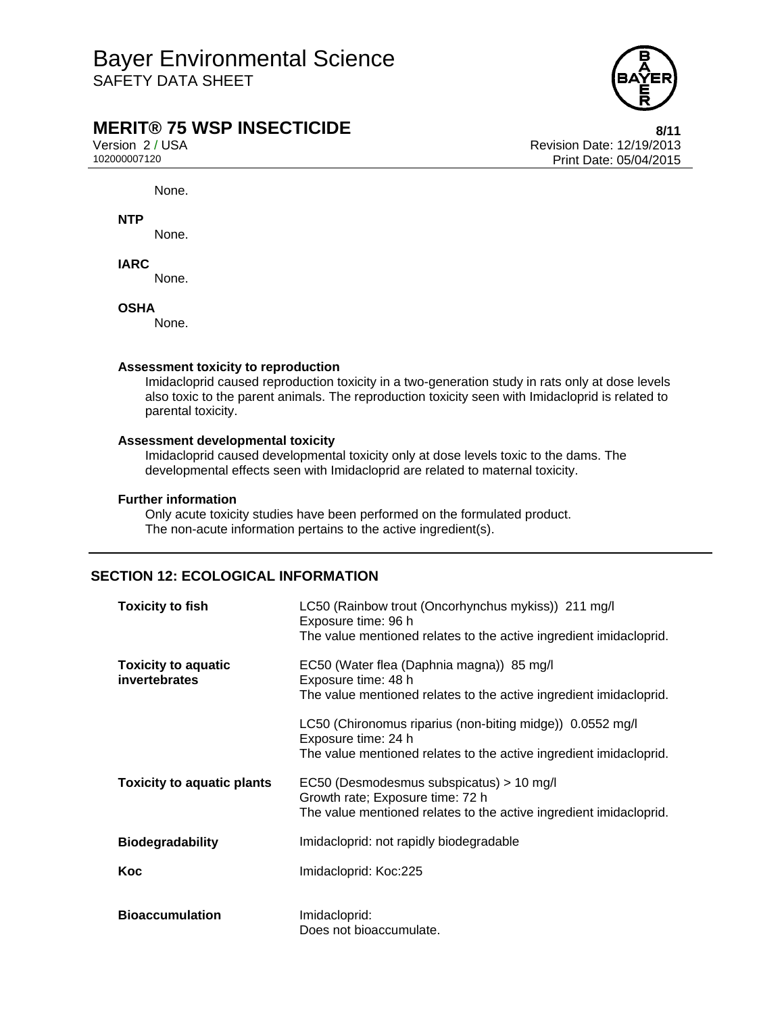

# **MERIT® 75 WSP INSECTICIDE**<br>Version 2/USA<br>Revision Date: 12/19/2013

Version 2 / USA Revision Date: 12/19/2013 Print Date: 05/04/2015

None.

**NTP** 

None.

**IARC** 

None.

**OSHA** 

None.

### **Assessment toxicity to reproduction**

Imidacloprid caused reproduction toxicity in a two-generation study in rats only at dose levels also toxic to the parent animals. The reproduction toxicity seen with Imidacloprid is related to parental toxicity.

#### **Assessment developmental toxicity**

Imidacloprid caused developmental toxicity only at dose levels toxic to the dams. The developmental effects seen with Imidacloprid are related to maternal toxicity.

#### **Further information**

Only acute toxicity studies have been performed on the formulated product. The non-acute information pertains to the active ingredient(s).

### **SECTION 12: ECOLOGICAL INFORMATION**

| <b>Toxicity to fish</b>                     | LC50 (Rainbow trout (Oncorhynchus mykiss)) 211 mg/l<br>Exposure time: 96 h<br>The value mentioned relates to the active ingredient imidacloprid.       |  |
|---------------------------------------------|--------------------------------------------------------------------------------------------------------------------------------------------------------|--|
| <b>Toxicity to aquatic</b><br>invertebrates | EC50 (Water flea (Daphnia magna)) 85 mg/l<br>Exposure time: 48 h<br>The value mentioned relates to the active ingredient imidacloprid.                 |  |
|                                             | LC50 (Chironomus riparius (non-biting midge)) 0.0552 mg/l<br>Exposure time: 24 h<br>The value mentioned relates to the active ingredient imidacloprid. |  |
| <b>Toxicity to aquatic plants</b>           | EC50 (Desmodesmus subspicatus) > 10 mg/l<br>Growth rate; Exposure time: 72 h<br>The value mentioned relates to the active ingredient imidacloprid.     |  |
| <b>Biodegradability</b>                     | Imidacloprid: not rapidly biodegradable                                                                                                                |  |
| Koc                                         | Imidacloprid: Koc:225                                                                                                                                  |  |
| <b>Bioaccumulation</b>                      | Imidacloprid:<br>Does not bioaccumulate.                                                                                                               |  |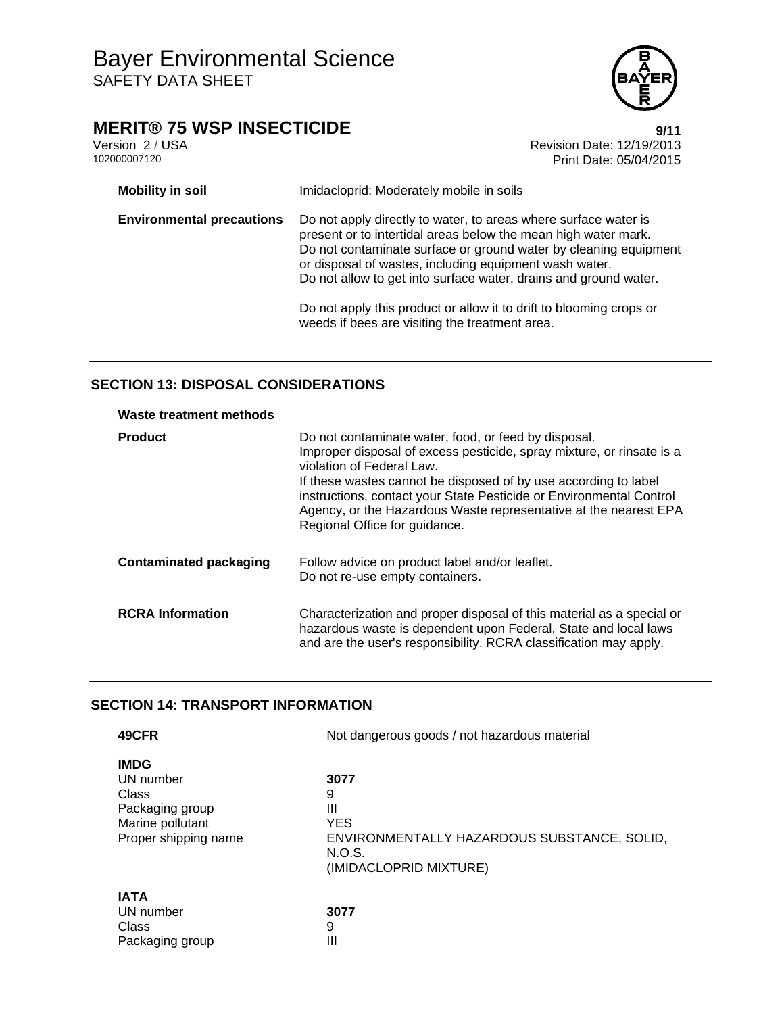

# **MERIT® 75 WSP INSECTICIDE**<br>Version 2/USA Version 2/USA

Version 2 / USA <br>102000007120<br>Print Date: 05/04/2015 Print Date: 05/04/2015

| <b>Mobility in soil</b>          | Imidacloprid: Moderately mobile in soils                                                                                                                                                                                                                                                                                                                                                                                                                     |  |
|----------------------------------|--------------------------------------------------------------------------------------------------------------------------------------------------------------------------------------------------------------------------------------------------------------------------------------------------------------------------------------------------------------------------------------------------------------------------------------------------------------|--|
| <b>Environmental precautions</b> | Do not apply directly to water, to areas where surface water is<br>present or to intertidal areas below the mean high water mark.<br>Do not contaminate surface or ground water by cleaning equipment<br>or disposal of wastes, including equipment wash water.<br>Do not allow to get into surface water, drains and ground water.<br>Do not apply this product or allow it to drift to blooming crops or<br>weeds if bees are visiting the treatment area. |  |

# **SECTION 13: DISPOSAL CONSIDERATIONS**

| Waste treatment methods       |                                                                                                                                                                                                                                                                                                                                                                                                           |  |
|-------------------------------|-----------------------------------------------------------------------------------------------------------------------------------------------------------------------------------------------------------------------------------------------------------------------------------------------------------------------------------------------------------------------------------------------------------|--|
| <b>Product</b>                | Do not contaminate water, food, or feed by disposal.<br>Improper disposal of excess pesticide, spray mixture, or rinsate is a<br>violation of Federal Law.<br>If these wastes cannot be disposed of by use according to label<br>instructions, contact your State Pesticide or Environmental Control<br>Agency, or the Hazardous Waste representative at the nearest EPA<br>Regional Office for guidance. |  |
| <b>Contaminated packaging</b> | Follow advice on product label and/or leaflet.<br>Do not re-use empty containers.                                                                                                                                                                                                                                                                                                                         |  |
| <b>RCRA Information</b>       | Characterization and proper disposal of this material as a special or<br>hazardous waste is dependent upon Federal, State and local laws<br>and are the user's responsibility. RCRA classification may apply.                                                                                                                                                                                             |  |

# **SECTION 14: TRANSPORT INFORMATION**

| 49CFR                                                                                            | Not dangerous goods / not hazardous material                                                                    |  |
|--------------------------------------------------------------------------------------------------|-----------------------------------------------------------------------------------------------------------------|--|
| <b>IMDG</b><br>UN number<br>Class<br>Packaging group<br>Marine pollutant<br>Proper shipping name | 3077<br>9<br>Ш<br><b>YES</b><br>ENVIRONMENTALLY HAZARDOUS SUBSTANCE, SOLID,<br>N.O.S.<br>(IMIDACLOPRID MIXTURE) |  |
| <b>IATA</b><br>UN number<br>Class<br>Packaging group                                             | 3077<br>9<br>Ш                                                                                                  |  |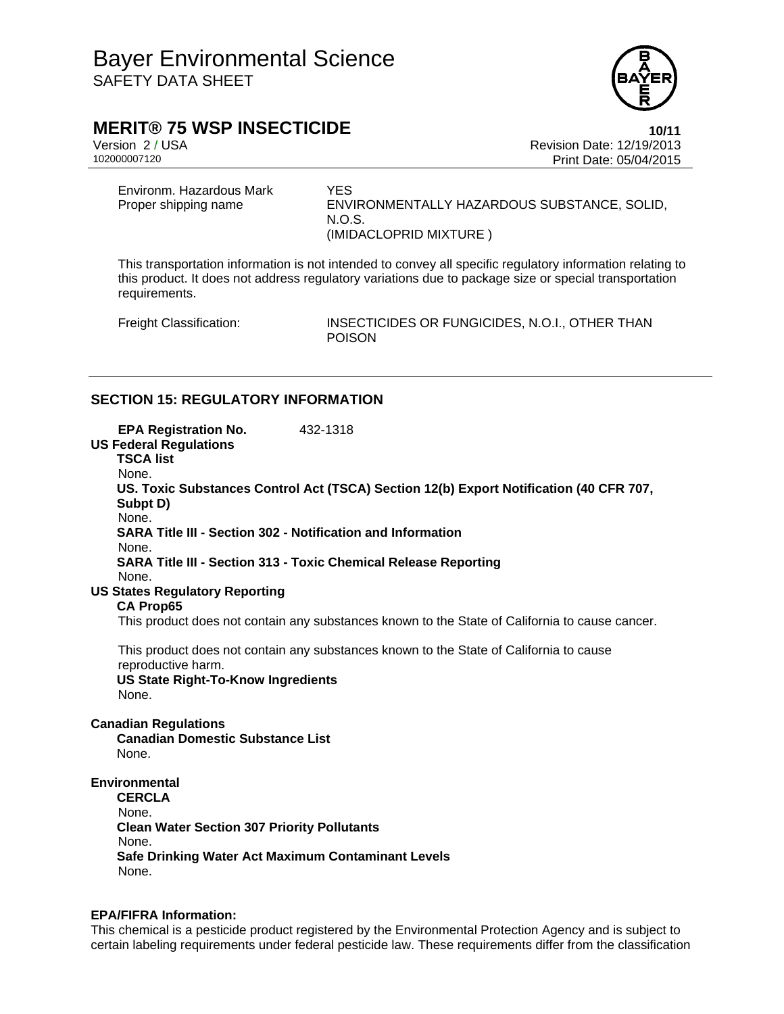

# **MERIT® 75 WSP INSECTICIDE 10/11**

Version 2 / USA Revision Date: 12/19/2013 Print Date: 05/04/2015

Environm. Hazardous Mark YES<br>Proper shipping name TENVI

ENVIRONMENTALLY HAZARDOUS SUBSTANCE, SOLID, N.O.S. (IMIDACLOPRID MIXTURE )

This transportation information is not intended to convey all specific regulatory information relating to this product. It does not address regulatory variations due to package size or special transportation requirements.

Freight Classification: INSECTICIDES OR FUNGICIDES, N.O.I., OTHER THAN POISON

### **SECTION 15: REGULATORY INFORMATION**

| <b>EPA Registration No.</b><br>432-1318<br><b>US Federal Regulations</b><br><b>TSCA list</b><br>None.                                                                 |  |  |  |  |
|-----------------------------------------------------------------------------------------------------------------------------------------------------------------------|--|--|--|--|
| US. Toxic Substances Control Act (TSCA) Section 12(b) Export Notification (40 CFR 707,<br>Subpt D)<br>None.                                                           |  |  |  |  |
| SARA Title III - Section 302 - Notification and Information<br>None.                                                                                                  |  |  |  |  |
| <b>SARA Title III - Section 313 - Toxic Chemical Release Reporting</b><br>None.                                                                                       |  |  |  |  |
| <b>US States Regulatory Reporting</b><br><b>CA Prop65</b>                                                                                                             |  |  |  |  |
| This product does not contain any substances known to the State of California to cause cancer.                                                                        |  |  |  |  |
| This product does not contain any substances known to the State of California to cause<br>reproductive harm.<br><b>US State Right-To-Know Ingredients</b><br>None.    |  |  |  |  |
| <b>Canadian Regulations</b><br><b>Canadian Domestic Substance List</b><br>None.                                                                                       |  |  |  |  |
| Environmental<br><b>CERCLA</b><br>None.<br><b>Clean Water Section 307 Priority Pollutants</b><br>None.<br>Safe Drinking Water Act Maximum Contaminant Levels<br>None. |  |  |  |  |

### **EPA/FIFRA Information:**

This chemical is a pesticide product registered by the Environmental Protection Agency and is subject to certain labeling requirements under federal pesticide law. These requirements differ from the classification